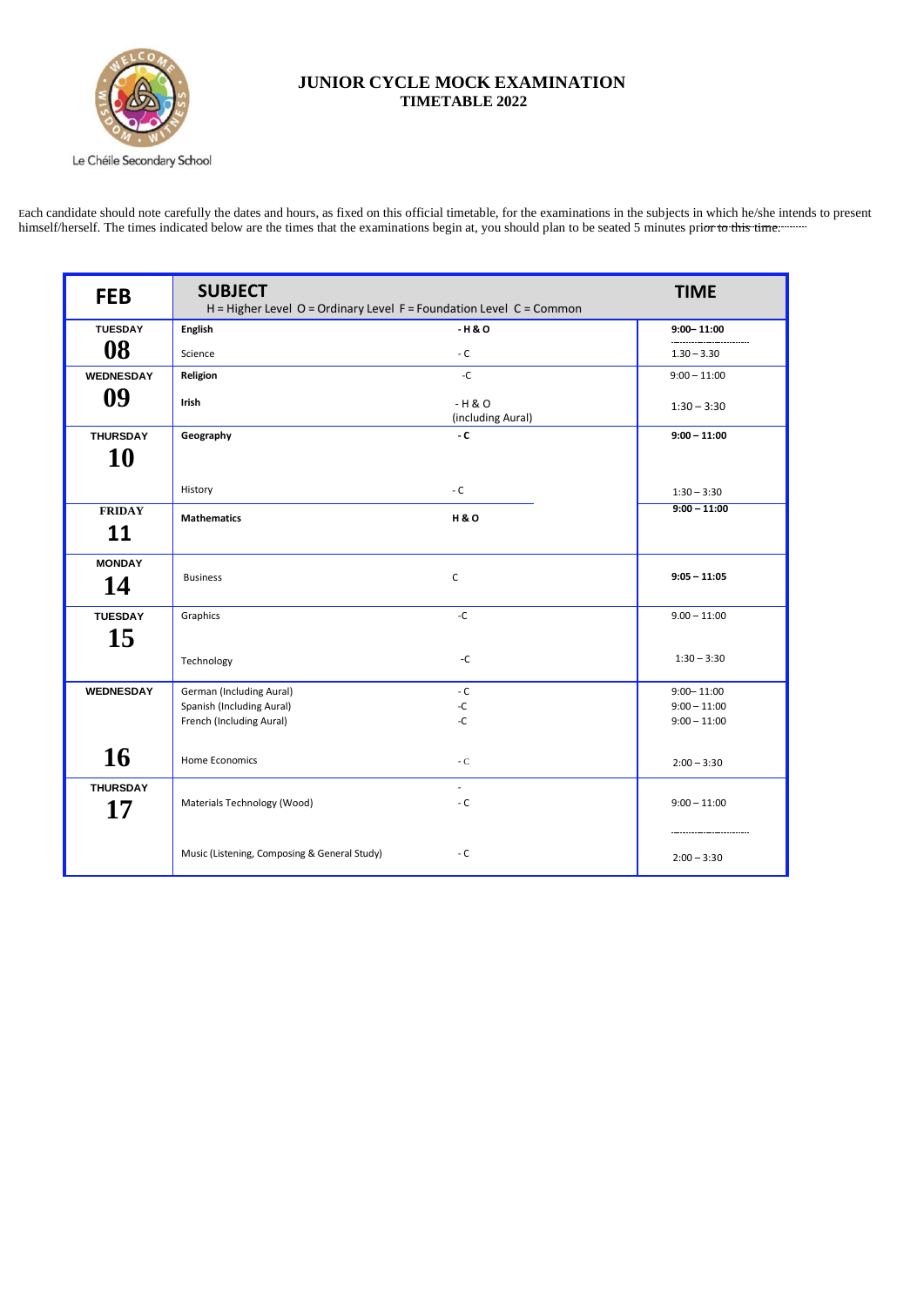

## **JUNIOR CYCLE MOCK EXAMINATION TIMETABLE 2022**

Each candidate should note carefully the dates and hours, as fixed on this official timetable, for the examinations in the subjects in which he/she intends to present himself/herself. The times indicated below are the times that the examinations begin at, you should plan to be seated 5 minutes prior to this time.

Le Chéile Secondary School

| <b>FEB</b>                 | <b>SUBJECT</b><br>$H = H$ igher Level O = Ordinary Level F = Foundation Level C = Common | <b>TIME</b>                               |                |  |  |
|----------------------------|------------------------------------------------------------------------------------------|-------------------------------------------|----------------|--|--|
| <b>TUESDAY</b>             | <b>English</b>                                                                           | $-H & O$                                  | $9:00 - 11:00$ |  |  |
| 08                         | Science                                                                                  | - $C$                                     | $1.30 - 3.30$  |  |  |
| <b>WEDNESDAY</b>           | Religion                                                                                 | $\textnormal{-}\mathbb{C}$                | $9:00 - 11:00$ |  |  |
| 09                         | Irish                                                                                    | $-H & O$<br>(including Aural)             | $1:30 - 3:30$  |  |  |
| <b>THURSDAY</b>            | Geography                                                                                | - $\mathsf{C}$                            | $9:00 - 11:00$ |  |  |
| <b>10</b>                  |                                                                                          |                                           |                |  |  |
|                            | History                                                                                  | $\sim$ C                                  | $1:30 - 3:30$  |  |  |
| <b>FRIDAY</b><br><b>11</b> | <b>Mathematics</b>                                                                       | <b>H&amp;O</b>                            | $9:00 - 11:00$ |  |  |
| <b>MONDAY</b><br>14        | <b>Business</b>                                                                          | $\mathsf C$                               | $9:05 - 11:05$ |  |  |
| <b>TUESDAY</b>             | Graphics                                                                                 | $\textnormal{-}\mathbb{C}$                | $9.00 - 11:00$ |  |  |
| 15                         |                                                                                          |                                           |                |  |  |
|                            | Technology                                                                               | $\textnormal{\textsf{-C}}$                | $1:30 - 3:30$  |  |  |
| <b>WEDNESDAY</b>           | German (Including Aural)                                                                 | $\text{-}\mathsf{C}$                      | $9:00 - 11:00$ |  |  |
|                            | Spanish (Including Aural)                                                                | $-C$                                      | $9:00 - 11:00$ |  |  |
|                            | French (Including Aural)                                                                 | $-C$                                      | $9:00 - 11:00$ |  |  |
| 16                         | Home Economics                                                                           | $-C$                                      | $2:00 - 3:30$  |  |  |
| <b>THURSDAY</b><br>17      | Materials Technology (Wood)                                                              | $\overline{\phantom{a}}$<br>- $\mathsf C$ | $9:00 - 11:00$ |  |  |
|                            | Music (Listening, Composing & General Study)                                             | - $C$                                     | $2:00 - 3:30$  |  |  |